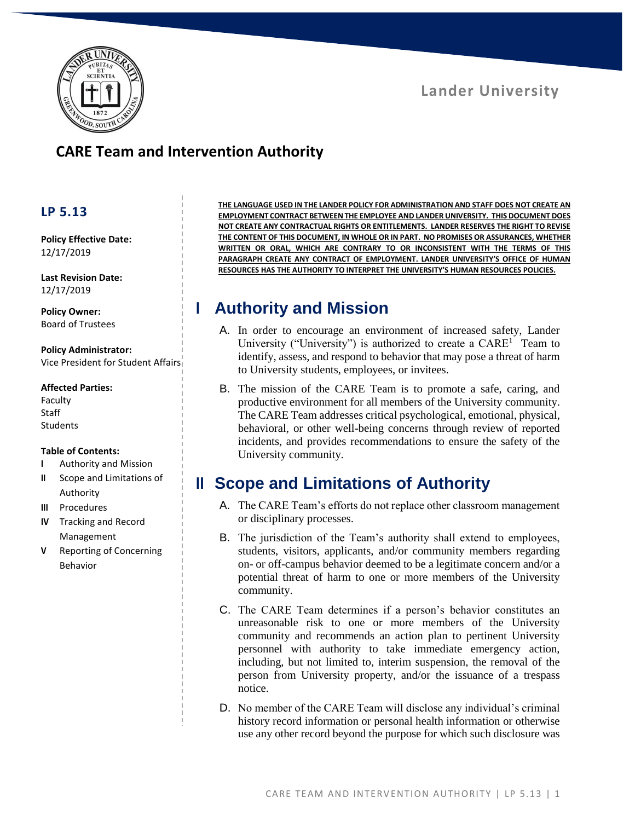

# **CARE Team and Intervention Authority**

#### **LP 5.13**

**Policy Effective Date:** 12/17/2019

**Last Revision Date:** 12/17/2019

**Policy Owner:** Board of Trustees

**Policy Administrator:** Vice President for Student Affairs

#### **Affected Parties:**

Faculty Staff Students

#### **Table of Contents:**

- **I** Authority and Mission
- **II** Scope and Limitations of Authority
- **III** Procedures
- **IV** Tracking and Record Management
- **V** Reporting of Concerning Behavior

**THE LANGUAGE USED IN THE LANDER POLICY FOR ADMINISTRATION AND STAFF DOES NOT CREATE AN EMPLOYMENT CONTRACT BETWEEN THE EMPLOYEE AND LANDER UNIVERSITY. THIS DOCUMENT DOES NOT CREATE ANY CONTRACTUAL RIGHTS OR ENTITLEMENTS. LANDER RESERVES THE RIGHT TO REVISE THE CONTENT OF THIS DOCUMENT, IN WHOLE OR IN PART. NO PROMISES OR ASSURANCES, WHETHER WRITTEN OR ORAL, WHICH ARE CONTRARY TO OR INCONSISTENT WITH THE TERMS OF THIS PARAGRAPH CREATE ANY CONTRACT OF EMPLOYMENT. LANDER UNIVERSITY'S OFFICE OF HUMAN RESOURCES HAS THE AUTHORITY TO INTERPRET THE UNIVERSITY'S HUMAN RESOURCES POLICIES.**

# **I Authority and Mission**

- A. In order to encourage an environment of increased safety, Lander University ("University") is authorized to create a  $CARE<sup>1</sup>$  Team to identify, assess, and respond to behavior that may pose a threat of harm to University students, employees, or invitees.
- B. The mission of the CARE Team is to promote a safe, caring, and productive environment for all members of the University community. The CARE Team addresses critical psychological, emotional, physical, behavioral, or other well-being concerns through review of reported incidents, and provides recommendations to ensure the safety of the University community.

# **II Scope and Limitations of Authority**

- A. The CARE Team's efforts do not replace other classroom management or disciplinary processes.
- B. The jurisdiction of the Team's authority shall extend to employees, students, visitors, applicants, and/or community members regarding on- or off-campus behavior deemed to be a legitimate concern and/or a potential threat of harm to one or more members of the University community.
- C. The CARE Team determines if a person's behavior constitutes an unreasonable risk to one or more members of the University community and recommends an action plan to pertinent University personnel with authority to take immediate emergency action, including, but not limited to, interim suspension, the removal of the person from University property, and/or the issuance of a trespass notice.
- D. No member of the CARE Team will disclose any individual's criminal history record information or personal health information or otherwise use any other record beyond the purpose for which such disclosure was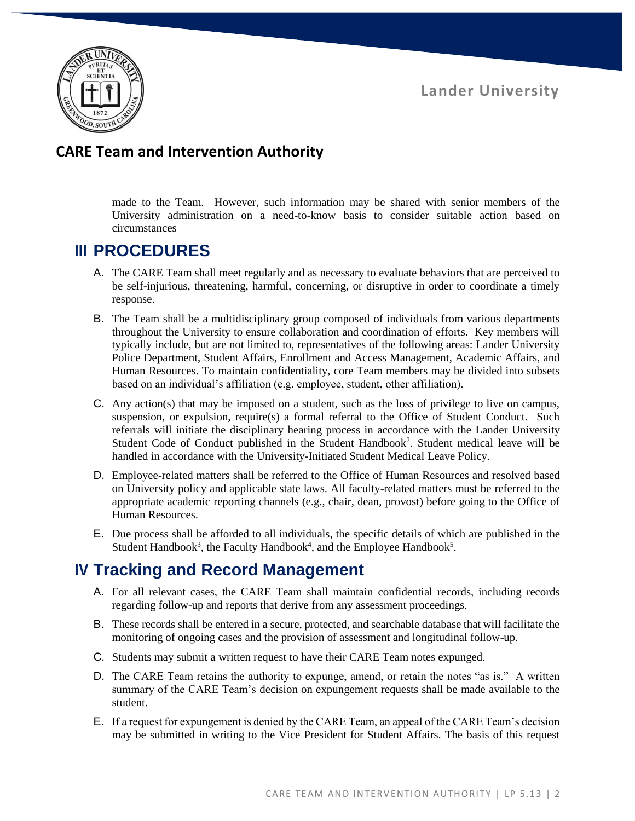

#### **CARE Team and Intervention Authority**

made to the Team. However, such information may be shared with senior members of the University administration on a need-to-know basis to consider suitable action based on circumstances

## **III PROCEDURES**

- A. The CARE Team shall meet regularly and as necessary to evaluate behaviors that are perceived to be self-injurious, threatening, harmful, concerning, or disruptive in order to coordinate a timely response.
- B. The Team shall be a multidisciplinary group composed of individuals from various departments throughout the University to ensure collaboration and coordination of efforts. Key members will typically include, but are not limited to, representatives of the following areas: Lander University Police Department, Student Affairs, Enrollment and Access Management, Academic Affairs, and Human Resources. To maintain confidentiality, core Team members may be divided into subsets based on an individual's affiliation (e.g. employee, student, other affiliation).
- C. Any action(s) that may be imposed on a student, such as the loss of privilege to live on campus, suspension, or expulsion, require(s) a formal referral to the Office of Student Conduct. Such referrals will initiate the disciplinary hearing process in accordance with the Lander University Student Code of Conduct published in the Student Handbook<sup>2</sup>. Student medical leave will be handled in accordance with the University-Initiated Student Medical Leave Policy.
- D. Employee-related matters shall be referred to the Office of Human Resources and resolved based on University policy and applicable state laws. All faculty-related matters must be referred to the appropriate academic reporting channels (e.g., chair, dean, provost) before going to the Office of Human Resources.
- E. Due process shall be afforded to all individuals, the specific details of which are published in the Student Handbook<sup>3</sup>, the Faculty Handbook<sup>4</sup>, and the Employee Handbook<sup>5</sup>.

## **IV Tracking and Record Management**

- A. For all relevant cases, the CARE Team shall maintain confidential records, including records regarding follow-up and reports that derive from any assessment proceedings.
- B. These records shall be entered in a secure, protected, and searchable database that will facilitate the monitoring of ongoing cases and the provision of assessment and longitudinal follow-up.
- C. Students may submit a written request to have their CARE Team notes expunged.
- D. The CARE Team retains the authority to expunge, amend, or retain the notes "as is." A written summary of the CARE Team's decision on expungement requests shall be made available to the student.
- E. If a request for expungement is denied by the CARE Team, an appeal of the CARE Team's decision may be submitted in writing to the Vice President for Student Affairs. The basis of this request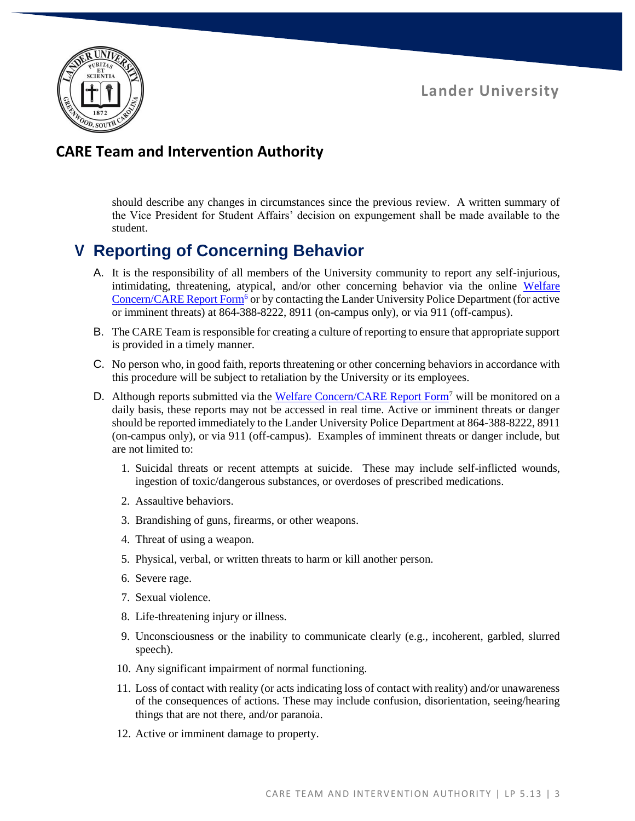

### **CARE Team and Intervention Authority**

should describe any changes in circumstances since the previous review. A written summary of the Vice President for Student Affairs' decision on expungement shall be made available to the student.

# **V Reporting of Concerning Behavior**

- A. It is the responsibility of all members of the University community to report any self-injurious, intimidating, threatening, atypical, and/or other concerning behavior via the online [Welfare](https://www.lander.edu/care)  [Concern/CARE Report Form](https://www.lander.edu/care)<sup>6</sup> or by contacting the Lander University Police Department (for active or imminent threats) at 864-388-8222, 8911 (on-campus only), or via 911 (off-campus).
- B. The CARE Team is responsible for creating a culture of reporting to ensure that appropriate support is provided in a timely manner.
- C. No person who, in good faith, reports threatening or other concerning behaviors in accordance with this procedure will be subject to retaliation by the University or its employees.
- D. Although reports submitted via the [Welfare Concern/CARE Report Form](https://www.lander.edu/care)<sup>7</sup> will be monitored on a daily basis, these reports may not be accessed in real time. Active or imminent threats or danger should be reported immediately to the Lander University Police Department at 864-388-8222, 8911 (on-campus only), or via 911 (off-campus). Examples of imminent threats or danger include, but are not limited to:
	- 1. Suicidal threats or recent attempts at suicide. These may include self-inflicted wounds, ingestion of toxic/dangerous substances, or overdoses of prescribed medications.
	- 2. Assaultive behaviors.
	- 3. Brandishing of guns, firearms, or other weapons.
	- 4. Threat of using a weapon.
	- 5. Physical, verbal, or written threats to harm or kill another person.
	- 6. Severe rage.
	- 7. Sexual violence.
	- 8. Life-threatening injury or illness.
	- 9. Unconsciousness or the inability to communicate clearly (e.g., incoherent, garbled, slurred speech).
	- 10. Any significant impairment of normal functioning.
	- 11. Loss of contact with reality (or acts indicating loss of contact with reality) and/or unawareness of the consequences of actions. These may include confusion, disorientation, seeing/hearing things that are not there, and/or paranoia.
	- 12. Active or imminent damage to property.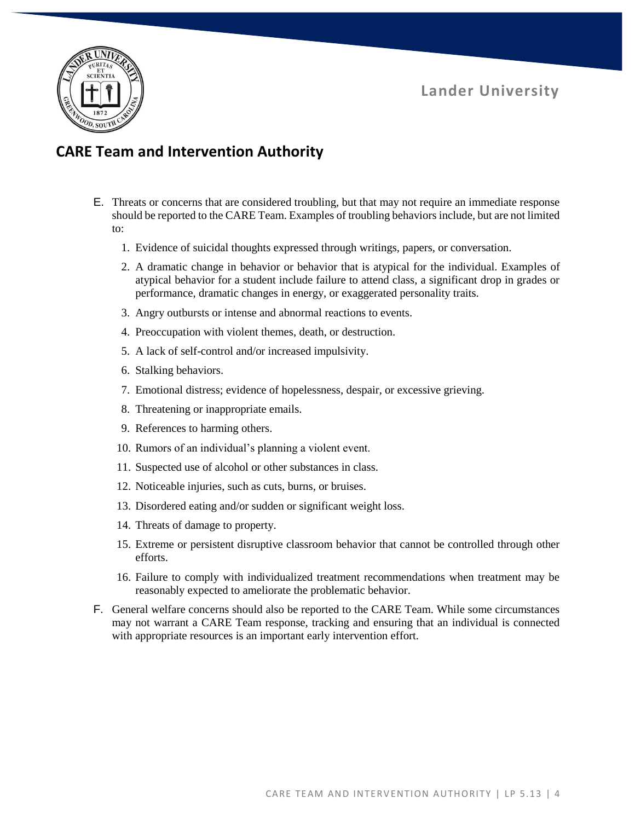

### **CARE Team and Intervention Authority**

- E. Threats or concerns that are considered troubling, but that may not require an immediate response should be reported to the CARE Team. Examples of troubling behaviors include, but are not limited to:
	- 1. Evidence of suicidal thoughts expressed through writings, papers, or conversation.
	- 2. A dramatic change in behavior or behavior that is atypical for the individual. Examples of atypical behavior for a student include failure to attend class, a significant drop in grades or performance, dramatic changes in energy, or exaggerated personality traits.
	- 3. Angry outbursts or intense and abnormal reactions to events.
	- 4. Preoccupation with violent themes, death, or destruction.
	- 5. A lack of self-control and/or increased impulsivity.
	- 6. Stalking behaviors.
	- 7. Emotional distress; evidence of hopelessness, despair, or excessive grieving.
	- 8. Threatening or inappropriate emails.
	- 9. References to harming others.
	- 10. Rumors of an individual's planning a violent event.
	- 11. Suspected use of alcohol or other substances in class.
	- 12. Noticeable injuries, such as cuts, burns, or bruises.
	- 13. Disordered eating and/or sudden or significant weight loss.
	- 14. Threats of damage to property.
	- 15. Extreme or persistent disruptive classroom behavior that cannot be controlled through other efforts.
	- 16. Failure to comply with individualized treatment recommendations when treatment may be reasonably expected to ameliorate the problematic behavior.
- F. General welfare concerns should also be reported to the CARE Team. While some circumstances may not warrant a CARE Team response, tracking and ensuring that an individual is connected with appropriate resources is an important early intervention effort.